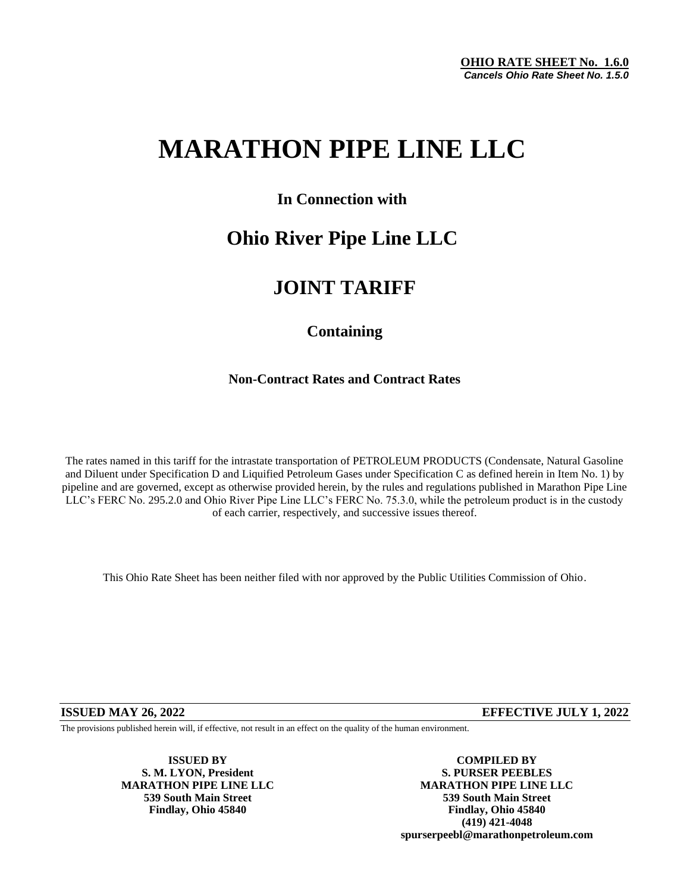# **MARATHON PIPE LINE LLC**

### **In Connection with**

## **Ohio River Pipe Line LLC**

## **JOINT TARIFF**

### **Containing**

### **Non-Contract Rates and Contract Rates**

The rates named in this tariff for the intrastate transportation of PETROLEUM PRODUCTS (Condensate, Natural Gasoline and Diluent under Specification D and Liquified Petroleum Gases under Specification C as defined herein in Item No. 1) by pipeline and are governed, except as otherwise provided herein, by the rules and regulations published in Marathon Pipe Line LLC's FERC No. 295.2.0 and Ohio River Pipe Line LLC's FERC No. 75.3.0, while the petroleum product is in the custody of each carrier, respectively, and successive issues thereof.

This Ohio Rate Sheet has been neither filed with nor approved by the Public Utilities Commission of Ohio.

**ISSUED MAY 26, 2022 EFFECTIVE JULY 1, 2022**

The provisions published herein will, if effective, not result in an effect on the quality of the human environment.

**S. M. LYON, President** 

**ISSUED BY COMPILED BY**<br> **COMPILED BY**<br> **COMPILED BY**<br> **COMPILED BY MARATHON PIPE LINE LLC MARATHON PIPE LINE LLC 539 South Main Street 539 South Main Street Findlay, Ohio 45840 Findlay, Ohio 45840 (419) 421-4048 spurserpeebl@marathonpetroleum.com**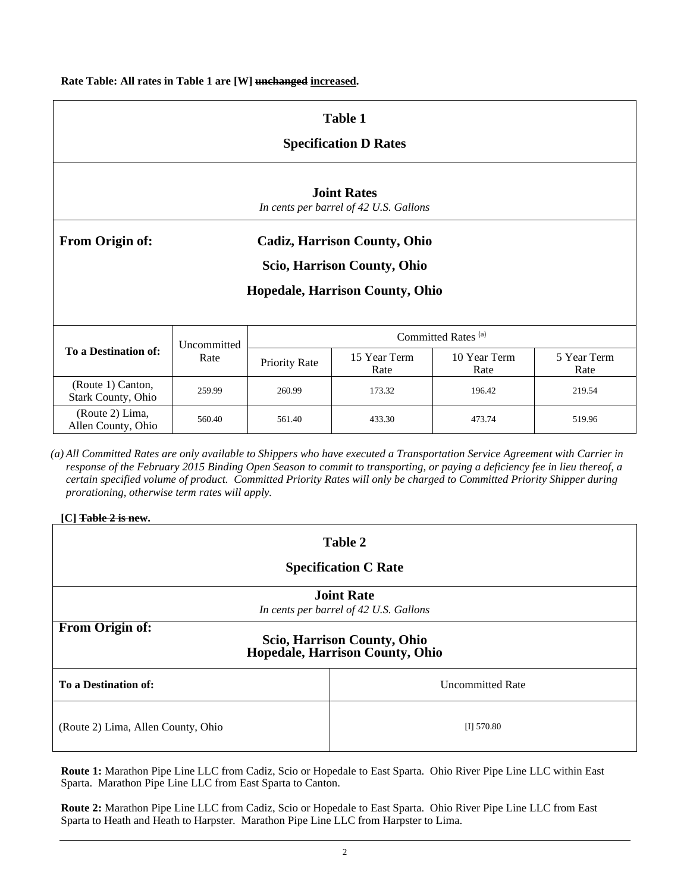**Rate Table: All rates in Table 1 are [W] unchanged increased.**

| <b>Table 1</b><br><b>Specification D Rates</b>               |                     |                                |                      |                      |                     |  |
|--------------------------------------------------------------|---------------------|--------------------------------|----------------------|----------------------|---------------------|--|
| <b>Joint Rates</b><br>In cents per barrel of 42 U.S. Gallons |                     |                                |                      |                      |                     |  |
| From Origin of:<br><b>Cadiz, Harrison County, Ohio</b>       |                     |                                |                      |                      |                     |  |
| Scio, Harrison County, Ohio                                  |                     |                                |                      |                      |                     |  |
| <b>Hopedale, Harrison County, Ohio</b>                       |                     |                                |                      |                      |                     |  |
| To a Destination of:                                         | Uncommitted<br>Rate | Committed Rates <sup>(a)</sup> |                      |                      |                     |  |
|                                                              |                     | Priority Rate                  | 15 Year Term<br>Rate | 10 Year Term<br>Rate | 5 Year Term<br>Rate |  |
| (Route 1) Canton,<br><b>Stark County, Ohio</b>               | 259.99              | 260.99                         | 173.32               | 196.42               | 219.54              |  |
| (Route 2) Lima,<br>Allen County, Ohio                        | 560.40              | 561.40                         | 433.30               | 473.74               | 519.96              |  |

*(a) All Committed Rates are only available to Shippers who have executed a Transportation Service Agreement with Carrier in response of the February 2015 Binding Open Season to commit to transporting, or paying a deficiency fee in lieu thereof, a certain specified volume of product. Committed Priority Rates will only be charged to Committed Priority Shipper during prorationing, otherwise term rates will apply.*

| [C] Table 2 is new. |  |
|---------------------|--|
|---------------------|--|

| Table 2                                                                                  |                         |  |  |  |
|------------------------------------------------------------------------------------------|-------------------------|--|--|--|
| <b>Specification C Rate</b>                                                              |                         |  |  |  |
| <b>Joint Rate</b><br>In cents per barrel of 42 U.S. Gallons                              |                         |  |  |  |
| <b>From Origin of:</b><br>Scio, Harrison County, Ohio<br>Hopedale, Harrison County, Ohio |                         |  |  |  |
| To a Destination of:                                                                     | <b>Uncommitted Rate</b> |  |  |  |
| (Route 2) Lima, Allen County, Ohio                                                       | $[I]$ 570.80            |  |  |  |

**Route 1:** Marathon Pipe Line LLC from Cadiz, Scio or Hopedale to East Sparta. Ohio River Pipe Line LLC within East Sparta. Marathon Pipe Line LLC from East Sparta to Canton.

**Route 2:** Marathon Pipe Line LLC from Cadiz, Scio or Hopedale to East Sparta. Ohio River Pipe Line LLC from East Sparta to Heath and Heath to Harpster. Marathon Pipe Line LLC from Harpster to Lima.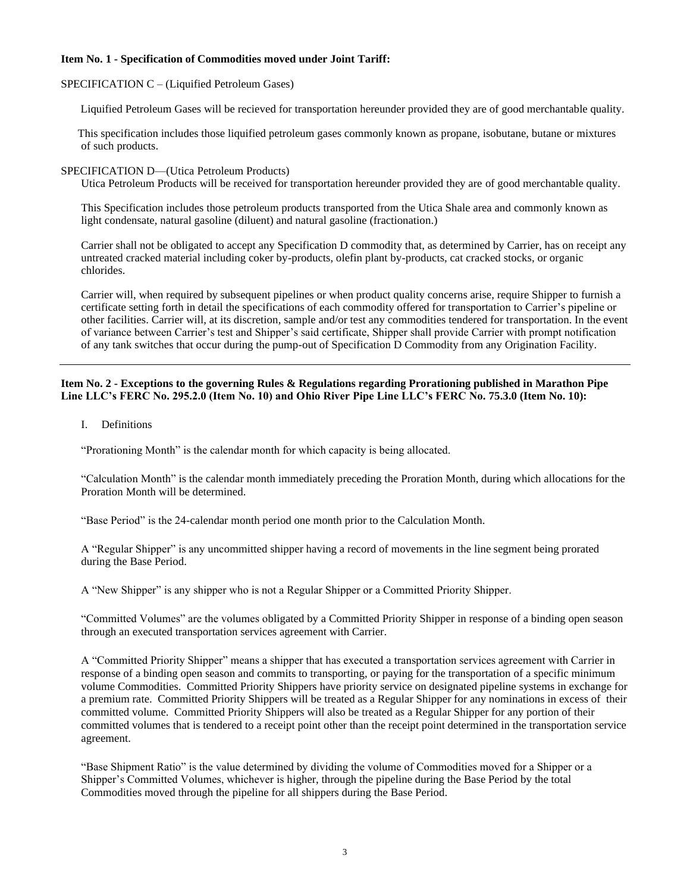#### **Item No. 1 - Specification of Commodities moved under Joint Tariff:**

#### SPECIFICATION C – (Liquified Petroleum Gases)

Liquified Petroleum Gases will be recieved for transportation hereunder provided they are of good merchantable quality.

 This specification includes those liquified petroleum gases commonly known as propane, isobutane, butane or mixtures of such products.

#### SPECIFICATION D—(Utica Petroleum Products)

Utica Petroleum Products will be received for transportation hereunder provided they are of good merchantable quality.

This Specification includes those petroleum products transported from the Utica Shale area and commonly known as light condensate, natural gasoline (diluent) and natural gasoline (fractionation.)

Carrier shall not be obligated to accept any Specification D commodity that, as determined by Carrier, has on receipt any untreated cracked material including coker by-products, olefin plant by-products, cat cracked stocks, or organic chlorides.

Carrier will, when required by subsequent pipelines or when product quality concerns arise, require Shipper to furnish a certificate setting forth in detail the specifications of each commodity offered for transportation to Carrier's pipeline or other facilities. Carrier will, at its discretion, sample and/or test any commodities tendered for transportation. In the event of variance between Carrier's test and Shipper's said certificate, Shipper shall provide Carrier with prompt notification of any tank switches that occur during the pump-out of Specification D Commodity from any Origination Facility.

#### **Item No. 2 - Exceptions to the governing Rules & Regulations regarding Prorationing published in Marathon Pipe Line LLC's FERC No. 295.2.0 (Item No. 10) and Ohio River Pipe Line LLC's FERC No. 75.3.0 (Item No. 10):**

I. Definitions

"Prorationing Month" is the calendar month for which capacity is being allocated.

"Calculation Month" is the calendar month immediately preceding the Proration Month, during which allocations for the Proration Month will be determined.

"Base Period" is the 24-calendar month period one month prior to the Calculation Month.

A "Regular Shipper" is any uncommitted shipper having a record of movements in the line segment being prorated during the Base Period.

A "New Shipper" is any shipper who is not a Regular Shipper or a Committed Priority Shipper.

"Committed Volumes" are the volumes obligated by a Committed Priority Shipper in response of a binding open season through an executed transportation services agreement with Carrier.

A "Committed Priority Shipper" means a shipper that has executed a transportation services agreement with Carrier in response of a binding open season and commits to transporting, or paying for the transportation of a specific minimum volume Commodities. Committed Priority Shippers have priority service on designated pipeline systems in exchange for a premium rate. Committed Priority Shippers will be treated as a Regular Shipper for any nominations in excess of their committed volume. Committed Priority Shippers will also be treated as a Regular Shipper for any portion of their committed volumes that is tendered to a receipt point other than the receipt point determined in the transportation service agreement.

"Base Shipment Ratio" is the value determined by dividing the volume of Commodities moved for a Shipper or a Shipper's Committed Volumes, whichever is higher, through the pipeline during the Base Period by the total Commodities moved through the pipeline for all shippers during the Base Period.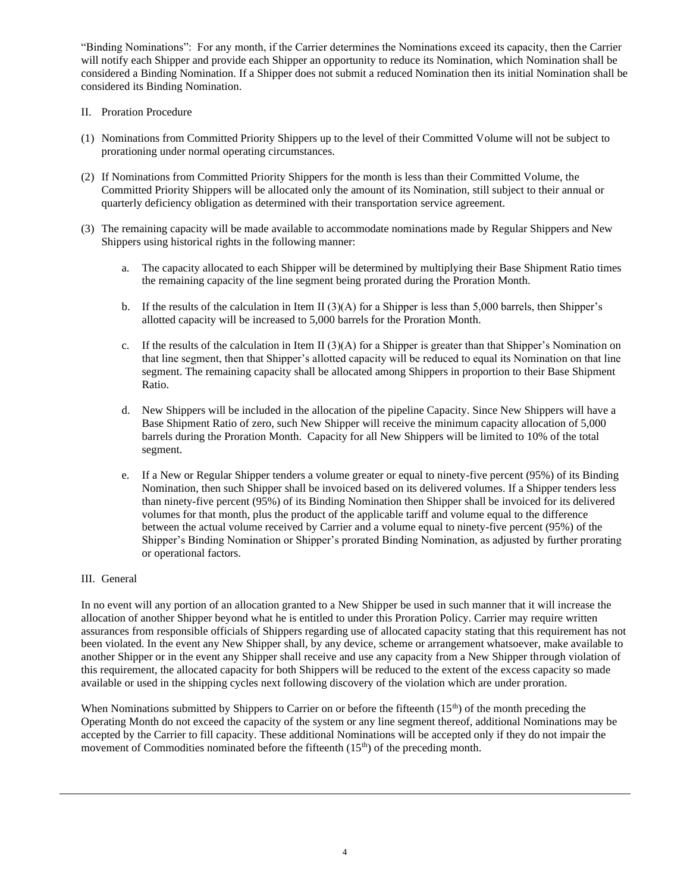"Binding Nominations": For any month, if the Carrier determines the Nominations exceed its capacity, then the Carrier will notify each Shipper and provide each Shipper an opportunity to reduce its Nomination, which Nomination shall be considered a Binding Nomination. If a Shipper does not submit a reduced Nomination then its initial Nomination shall be considered its Binding Nomination.

#### II. Proration Procedure

- (1) Nominations from Committed Priority Shippers up to the level of their Committed Volume will not be subject to prorationing under normal operating circumstances.
- (2) If Nominations from Committed Priority Shippers for the month is less than their Committed Volume, the Committed Priority Shippers will be allocated only the amount of its Nomination, still subject to their annual or quarterly deficiency obligation as determined with their transportation service agreement.
- (3) The remaining capacity will be made available to accommodate nominations made by Regular Shippers and New Shippers using historical rights in the following manner:
	- a. The capacity allocated to each Shipper will be determined by multiplying their Base Shipment Ratio times the remaining capacity of the line segment being prorated during the Proration Month.
	- b. If the results of the calculation in Item II (3)(A) for a Shipper is less than 5,000 barrels, then Shipper's allotted capacity will be increased to 5,000 barrels for the Proration Month.
	- c. If the results of the calculation in Item II  $(3)(A)$  for a Shipper is greater than that Shipper's Nomination on that line segment, then that Shipper's allotted capacity will be reduced to equal its Nomination on that line segment. The remaining capacity shall be allocated among Shippers in proportion to their Base Shipment Ratio.
	- d. New Shippers will be included in the allocation of the pipeline Capacity. Since New Shippers will have a Base Shipment Ratio of zero, such New Shipper will receive the minimum capacity allocation of 5,000 barrels during the Proration Month. Capacity for all New Shippers will be limited to 10% of the total segment.
	- e. If a New or Regular Shipper tenders a volume greater or equal to ninety-five percent (95%) of its Binding Nomination, then such Shipper shall be invoiced based on its delivered volumes. If a Shipper tenders less than ninety-five percent (95%) of its Binding Nomination then Shipper shall be invoiced for its delivered volumes for that month, plus the product of the applicable tariff and volume equal to the difference between the actual volume received by Carrier and a volume equal to ninety-five percent (95%) of the Shipper's Binding Nomination or Shipper's prorated Binding Nomination, as adjusted by further prorating or operational factors.

#### III. General

In no event will any portion of an allocation granted to a New Shipper be used in such manner that it will increase the allocation of another Shipper beyond what he is entitled to under this Proration Policy. Carrier may require written assurances from responsible officials of Shippers regarding use of allocated capacity stating that this requirement has not been violated. In the event any New Shipper shall, by any device, scheme or arrangement whatsoever, make available to another Shipper or in the event any Shipper shall receive and use any capacity from a New Shipper through violation of this requirement, the allocated capacity for both Shippers will be reduced to the extent of the excess capacity so made available or used in the shipping cycles next following discovery of the violation which are under proration.

When Nominations submitted by Shippers to Carrier on or before the fifteenth  $(15<sup>th</sup>)$  of the month preceding the Operating Month do not exceed the capacity of the system or any line segment thereof, additional Nominations may be accepted by the Carrier to fill capacity. These additional Nominations will be accepted only if they do not impair the movement of Commodities nominated before the fifteenth  $(15<sup>th</sup>)$  of the preceding month.